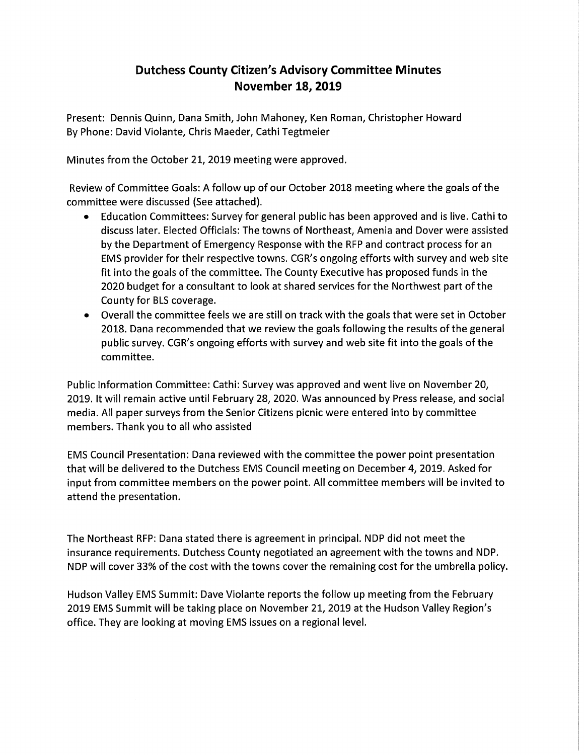## **Dutchess County Citizen's Advisory Committee Minutes November 18, 2019**

Present: Dennis Quinn, Dana Smith, John Mahoney, Ken Roman, Christopher Howard By Phone: David Violante, Chris Maeder, Cathi Tegtmeier

Minutes from the October 21, 2019 meeting were approved.

Review of Committee Goals: A follow up of our October 2018 meeting where the goals of the committee were discussed (See attached).

- Education Committees: Survey for general public has been approved and is live. Cathi to discuss later. Elected Officials: The towns of Northeast, Amenia and Dover were assisted by the Department of Emergency Response with the RFP and contract process for an EMS provider for their respective towns. CG R's ongoing efforts with survey and web site fit into the goals of the committee. The County Executive has proposed funds in the 2020 budget for a consultant to look at shared services for the Northwest part of the County for BLS coverage.
- Overall the committee feels we are still on track with the goals that were set in October 2018. Dana recommended that we review the goals following the results of the general public survey. CG R's ongoing efforts with survey and web site fit into the goals of the committee.

Public Information Committee: Cathi: Survey was approved and went live on November 20, 2019. It will remain active until February 28, 2020. Was announced by Press release, and social media. All paper surveys from the Senior Citizens picnic were entered into by committee members. Thank you to all who assisted

EMS Council Presentation: Dana reviewed with the committee the power point presentation that will be delivered to the Dutchess EMS Council meeting on December 4, 2019. Asked for input from committee members on the power point. All committee members will be invited to attend the presentation.

The Northeast RFP: Dana stated there is agreement in principal. NDP did not meet the insurance requirements. Dutchess County negotiated an agreement with the towns and NDP. NDP will cover 33% of the cost with the towns cover the remaining cost for the umbrella policy.

Hudson Valley EMS Summit: Dave Violante reports the follow up meeting from the February 2019 EMS Summit will be taking place on November 21, 2019 at the Hudson Valley Region's office. They are looking at moving EMS issues on a regional level.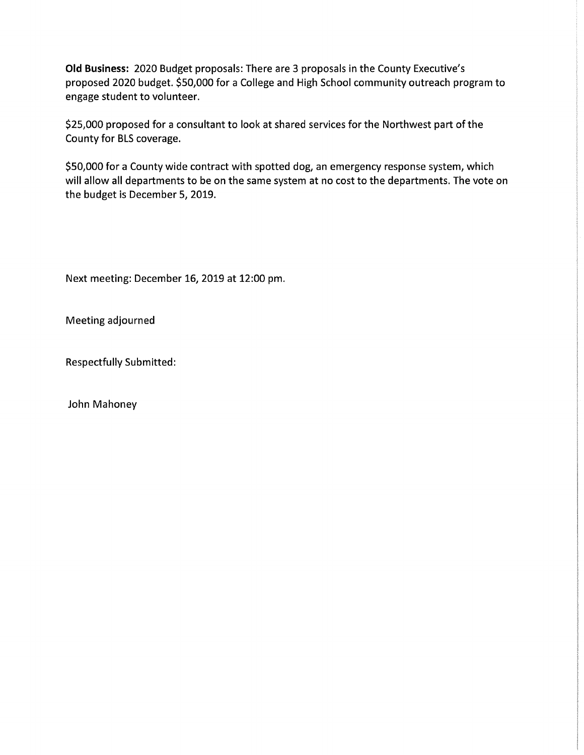**Old Business:** 2020 Budget proposals: There are 3 proposals in the County Executive's proposed 2020 budget. \$50,000 for a College and High School community outreach program to engage student to volunteer.

\$25,000 proposed for a consultant to look at shared services for the Northwest part of the County for BLS coverage.

\$50,000 for a County wide contract with spotted dog, an emergency response system, which will allow all departments to be on the same system at no cost to the departments. The vote on the budget is December 5, 2019.

Next meeting: December 16, 2019 at 12:00 pm.

Meeting adjourned

Respectfully Submitted:

John Mahoney